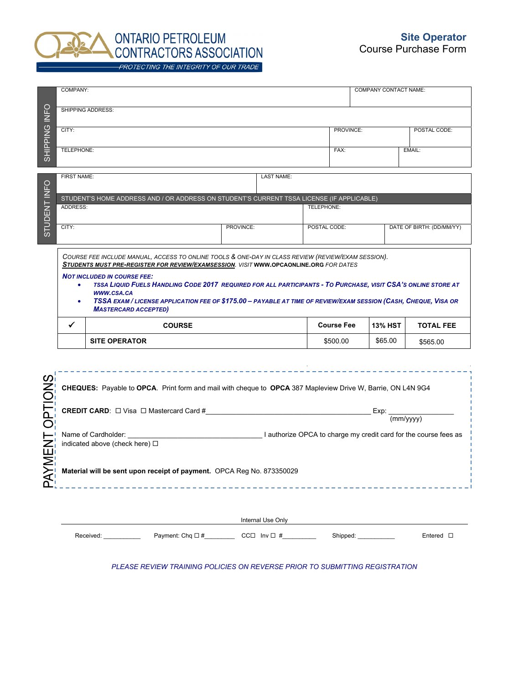

|                                                                                                                                                                                                                                                                                                                                                                                                                                                                                                                         | COMPANY:                                                                                                    |                      |                       |  |                        |                               |                           | <b>COMPANY CONTACT NAME:</b> |                   |  |
|-------------------------------------------------------------------------------------------------------------------------------------------------------------------------------------------------------------------------------------------------------------------------------------------------------------------------------------------------------------------------------------------------------------------------------------------------------------------------------------------------------------------------|-------------------------------------------------------------------------------------------------------------|----------------------|-----------------------|--|------------------------|-------------------------------|---------------------------|------------------------------|-------------------|--|
| FO<br>Ξ                                                                                                                                                                                                                                                                                                                                                                                                                                                                                                                 | <b>SHIPPING ADDRESS:</b>                                                                                    |                      |                       |  |                        |                               |                           |                              |                   |  |
| <b>SHIPPING</b>                                                                                                                                                                                                                                                                                                                                                                                                                                                                                                         | CITY:                                                                                                       |                      |                       |  |                        |                               | PROVINCE:<br>POSTAL CODE: |                              |                   |  |
|                                                                                                                                                                                                                                                                                                                                                                                                                                                                                                                         | <b>TELEPHONE:</b>                                                                                           |                      |                       |  |                        | FAX:<br>EMAIL:                |                           |                              |                   |  |
| <b>INFO</b>                                                                                                                                                                                                                                                                                                                                                                                                                                                                                                             | <b>FIRST NAME:</b>                                                                                          |                      |                       |  | <b>LAST NAME:</b>      |                               |                           |                              |                   |  |
|                                                                                                                                                                                                                                                                                                                                                                                                                                                                                                                         | STUDENT'S HOME ADDRESS AND / OR ADDRESS ON STUDENT'S CURRENT TSSA LICENSE (IF APPLICABLE)                   |                      |                       |  |                        |                               |                           |                              |                   |  |
|                                                                                                                                                                                                                                                                                                                                                                                                                                                                                                                         | ADDRESS:                                                                                                    |                      |                       |  | <b>TELEPHONE:</b>      |                               |                           |                              |                   |  |
| STUDENT <sup>1</sup>                                                                                                                                                                                                                                                                                                                                                                                                                                                                                                    | CITY:                                                                                                       | PROVINCE:            |                       |  | POSTAL CODE:           |                               |                           | DATE OF BIRTH: (DD/MM/YY)    |                   |  |
| COURSE FEE INCLUDE MANUAL, ACCESS TO ONLINE TOOLS & ONE-DAY IN CLASS REVIEW (REVIEW/EXAM SESSION).<br>STUDENTS MUST PRE-REGISTER FOR REVIEW/EXAMSESSION. VISIT WWW.OPCAONLINE.ORG FOR DATES<br><b>NOT INCLUDED IN COURSE FEE:</b><br>TSSA LIQUID FUELS HANDLING CODE 2017 REQUIRED FOR ALL PARTICIPANTS - TO PURCHASE, VISIT CSA'S ONLINE STORE AT<br>٠<br>WWW.CSA.CA<br>TSSA EXAM / LICENSE APPLICATION FEE OF \$175.00 - PAYABLE AT TIME OF REVIEW/EXAM SESSION (CASH, CHEQUE, VISA OR<br><b>MASTERCARD ACCEPTED)</b> |                                                                                                             |                      |                       |  |                        |                               |                           |                              |                   |  |
|                                                                                                                                                                                                                                                                                                                                                                                                                                                                                                                         | $\checkmark$                                                                                                | <b>COURSE</b>        |                       |  |                        |                               | <b>Course Fee</b>         | <b>13% HST</b>               | <b>TOTAL FEE</b>  |  |
|                                                                                                                                                                                                                                                                                                                                                                                                                                                                                                                         |                                                                                                             | <b>SITE OPERATOR</b> |                       |  |                        |                               | \$500.00                  | \$65.00                      | \$565.00          |  |
|                                                                                                                                                                                                                                                                                                                                                                                                                                                                                                                         |                                                                                                             |                      | -------------------   |  |                        |                               |                           |                              |                   |  |
| S                                                                                                                                                                                                                                                                                                                                                                                                                                                                                                                       | CHEQUES: Payable to OPCA. Print form and mail with cheque to OPCA 387 Mapleview Drive W, Barrie, ON L4N 9G4 |                      |                       |  |                        |                               |                           |                              |                   |  |
| OPTION                                                                                                                                                                                                                                                                                                                                                                                                                                                                                                                  |                                                                                                             |                      |                       |  |                        | Exp:<br>$\frac{1}{(mm/yyyy)}$ |                           |                              |                   |  |
| ENT                                                                                                                                                                                                                                                                                                                                                                                                                                                                                                                     | indicated above (check here) $\Box$                                                                         |                      |                       |  |                        |                               |                           |                              |                   |  |
| <b>Md</b>                                                                                                                                                                                                                                                                                                                                                                                                                                                                                                               | Material will be sent upon receipt of payment. OPCA Reg No. 873350029                                       |                      |                       |  |                        |                               |                           |                              |                   |  |
|                                                                                                                                                                                                                                                                                                                                                                                                                                                                                                                         | Internal Use Only                                                                                           |                      |                       |  |                        |                               |                           |                              |                   |  |
|                                                                                                                                                                                                                                                                                                                                                                                                                                                                                                                         |                                                                                                             | Received:            | Payment: Chq $\Box$ # |  | CC $\Box$ Inv $\Box$ # |                               | Shipped:                  |                              | Entered $\square$ |  |

*PLEASE REVIEW TRAINING POLICIES ON REVERSE PRIOR TO SUBMITTING REGISTRATION*